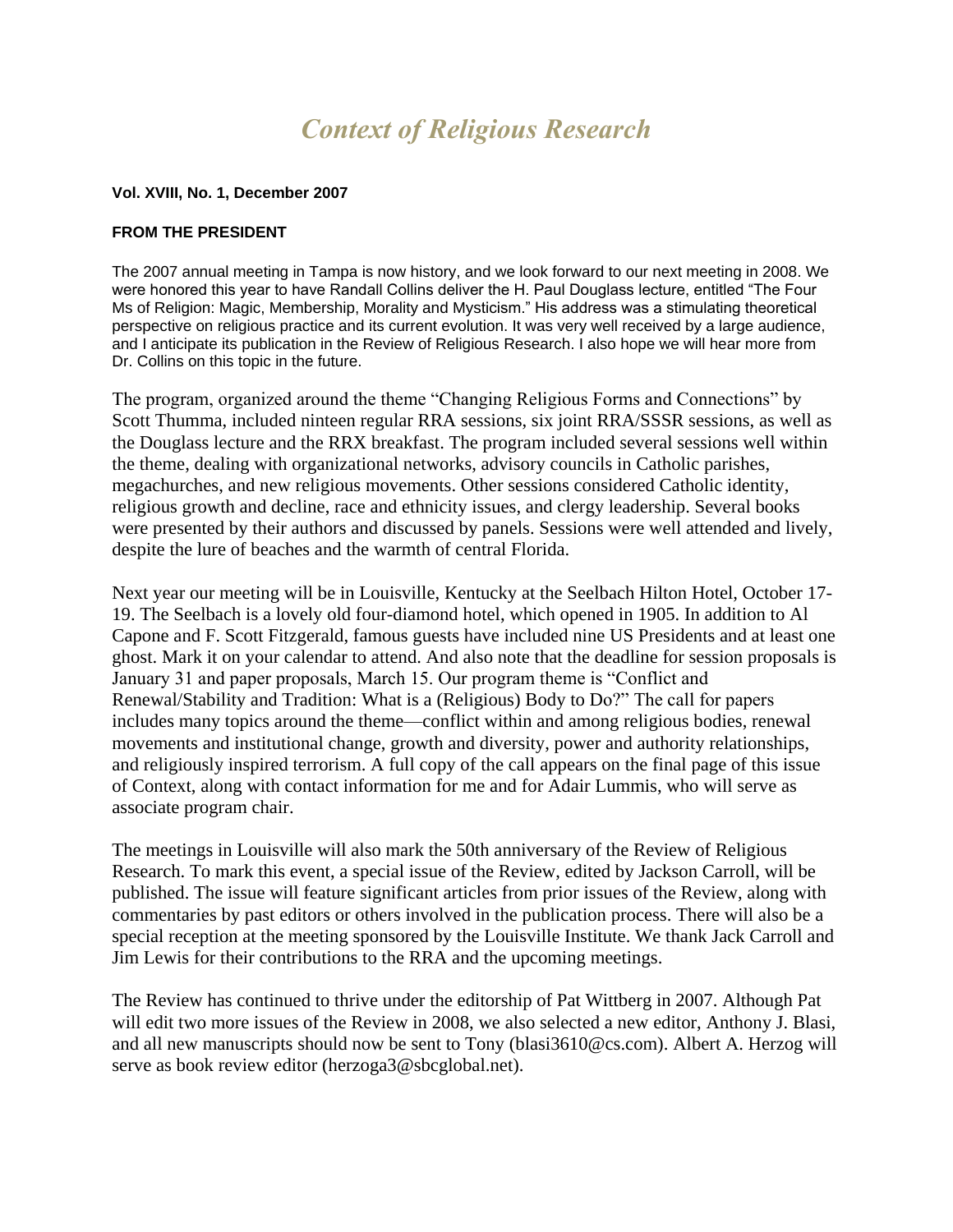# *Context of Religious Research*

#### **Vol. XVIII, No. 1, December 2007**

#### **FROM THE PRESIDENT**

The 2007 annual meeting in Tampa is now history, and we look forward to our next meeting in 2008. We were honored this year to have Randall Collins deliver the H. Paul Douglass lecture, entitled "The Four Ms of Religion: Magic, Membership, Morality and Mysticism." His address was a stimulating theoretical perspective on religious practice and its current evolution. It was very well received by a large audience, and I anticipate its publication in the Review of Religious Research. I also hope we will hear more from Dr. Collins on this topic in the future.

The program, organized around the theme "Changing Religious Forms and Connections" by Scott Thumma, included ninteen regular RRA sessions, six joint RRA/SSSR sessions, as well as the Douglass lecture and the RRX breakfast. The program included several sessions well within the theme, dealing with organizational networks, advisory councils in Catholic parishes, megachurches, and new religious movements. Other sessions considered Catholic identity, religious growth and decline, race and ethnicity issues, and clergy leadership. Several books were presented by their authors and discussed by panels. Sessions were well attended and lively, despite the lure of beaches and the warmth of central Florida.

Next year our meeting will be in Louisville, Kentucky at the Seelbach Hilton Hotel, October 17- 19. The Seelbach is a lovely old four-diamond hotel, which opened in 1905. In addition to Al Capone and F. Scott Fitzgerald, famous guests have included nine US Presidents and at least one ghost. Mark it on your calendar to attend. And also note that the deadline for session proposals is January 31 and paper proposals, March 15. Our program theme is "Conflict and Renewal/Stability and Tradition: What is a (Religious) Body to Do?" The call for papers includes many topics around the theme—conflict within and among religious bodies, renewal movements and institutional change, growth and diversity, power and authority relationships, and religiously inspired terrorism. A full copy of the call appears on the final page of this issue of Context, along with contact information for me and for Adair Lummis, who will serve as associate program chair.

The meetings in Louisville will also mark the 50th anniversary of the Review of Religious Research. To mark this event, a special issue of the Review, edited by Jackson Carroll, will be published. The issue will feature significant articles from prior issues of the Review, along with commentaries by past editors or others involved in the publication process. There will also be a special reception at the meeting sponsored by the Louisville Institute. We thank Jack Carroll and Jim Lewis for their contributions to the RRA and the upcoming meetings.

The Review has continued to thrive under the editorship of Pat Wittberg in 2007. Although Pat will edit two more issues of the Review in 2008, we also selected a new editor, Anthony J. Blasi, and all new manuscripts should now be sent to Tony (blasi3610@cs.com). Albert A. Herzog will serve as book review editor (herzoga3@sbcglobal.net).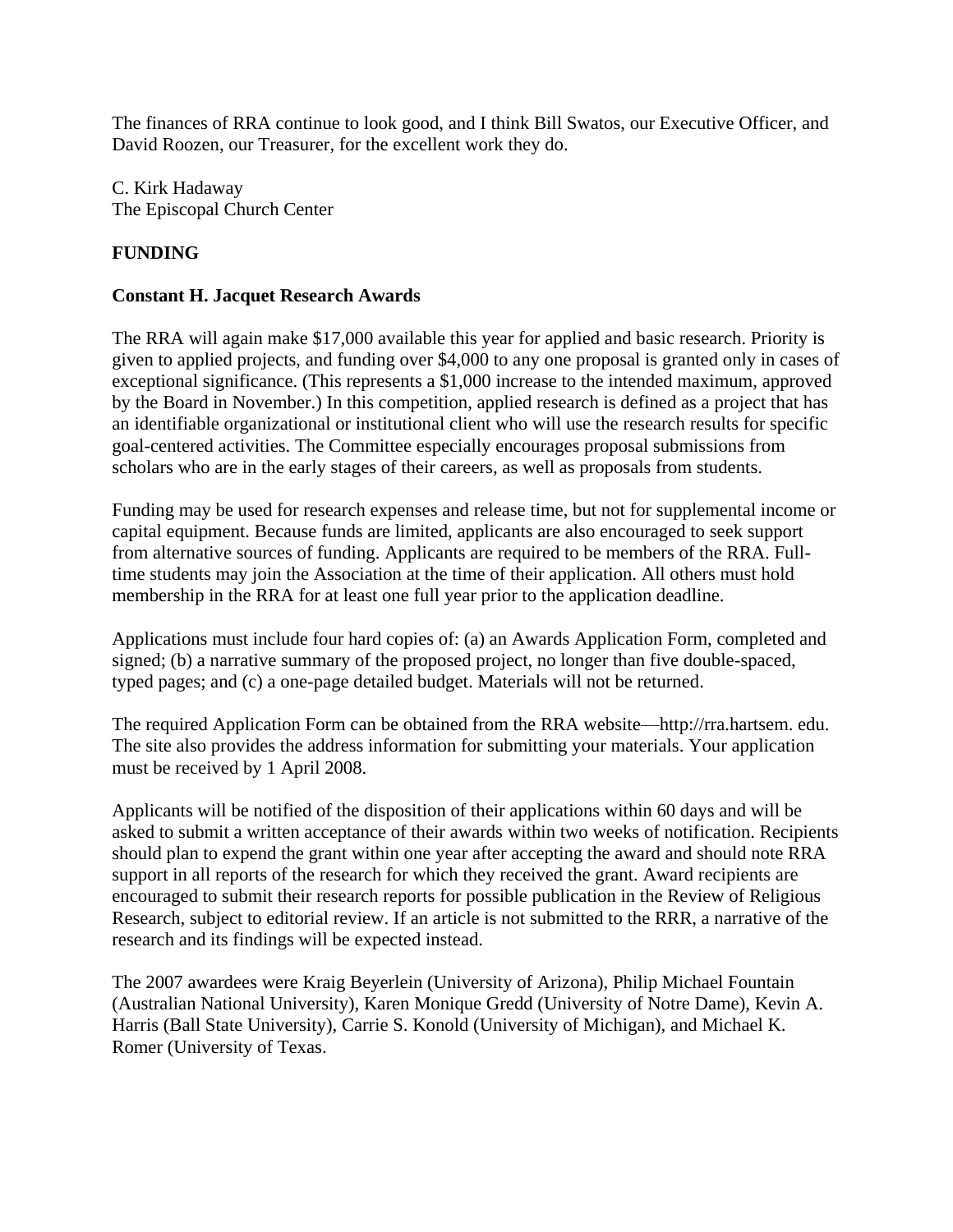The finances of RRA continue to look good, and I think Bill Swatos, our Executive Officer, and David Roozen, our Treasurer, for the excellent work they do.

C. Kirk Hadaway The Episcopal Church Center

### **FUNDING**

#### **Constant H. Jacquet Research Awards**

The RRA will again make \$17,000 available this year for applied and basic research. Priority is given to applied projects, and funding over \$4,000 to any one proposal is granted only in cases of exceptional significance. (This represents a \$1,000 increase to the intended maximum, approved by the Board in November.) In this competition, applied research is defined as a project that has an identifiable organizational or institutional client who will use the research results for specific goal-centered activities. The Committee especially encourages proposal submissions from scholars who are in the early stages of their careers, as well as proposals from students.

Funding may be used for research expenses and release time, but not for supplemental income or capital equipment. Because funds are limited, applicants are also encouraged to seek support from alternative sources of funding. Applicants are required to be members of the RRA. Fulltime students may join the Association at the time of their application. All others must hold membership in the RRA for at least one full year prior to the application deadline.

Applications must include four hard copies of: (a) an Awards Application Form, completed and signed; (b) a narrative summary of the proposed project, no longer than five double-spaced, typed pages; and (c) a one-page detailed budget. Materials will not be returned.

The required Application Form can be obtained from the RRA website—http://rra.hartsem. edu. The site also provides the address information for submitting your materials. Your application must be received by 1 April 2008.

Applicants will be notified of the disposition of their applications within 60 days and will be asked to submit a written acceptance of their awards within two weeks of notification. Recipients should plan to expend the grant within one year after accepting the award and should note RRA support in all reports of the research for which they received the grant. Award recipients are encouraged to submit their research reports for possible publication in the Review of Religious Research, subject to editorial review. If an article is not submitted to the RRR, a narrative of the research and its findings will be expected instead.

The 2007 awardees were Kraig Beyerlein (University of Arizona), Philip Michael Fountain (Australian National University), Karen Monique Gredd (University of Notre Dame), Kevin A. Harris (Ball State University), Carrie S. Konold (University of Michigan), and Michael K. Romer (University of Texas.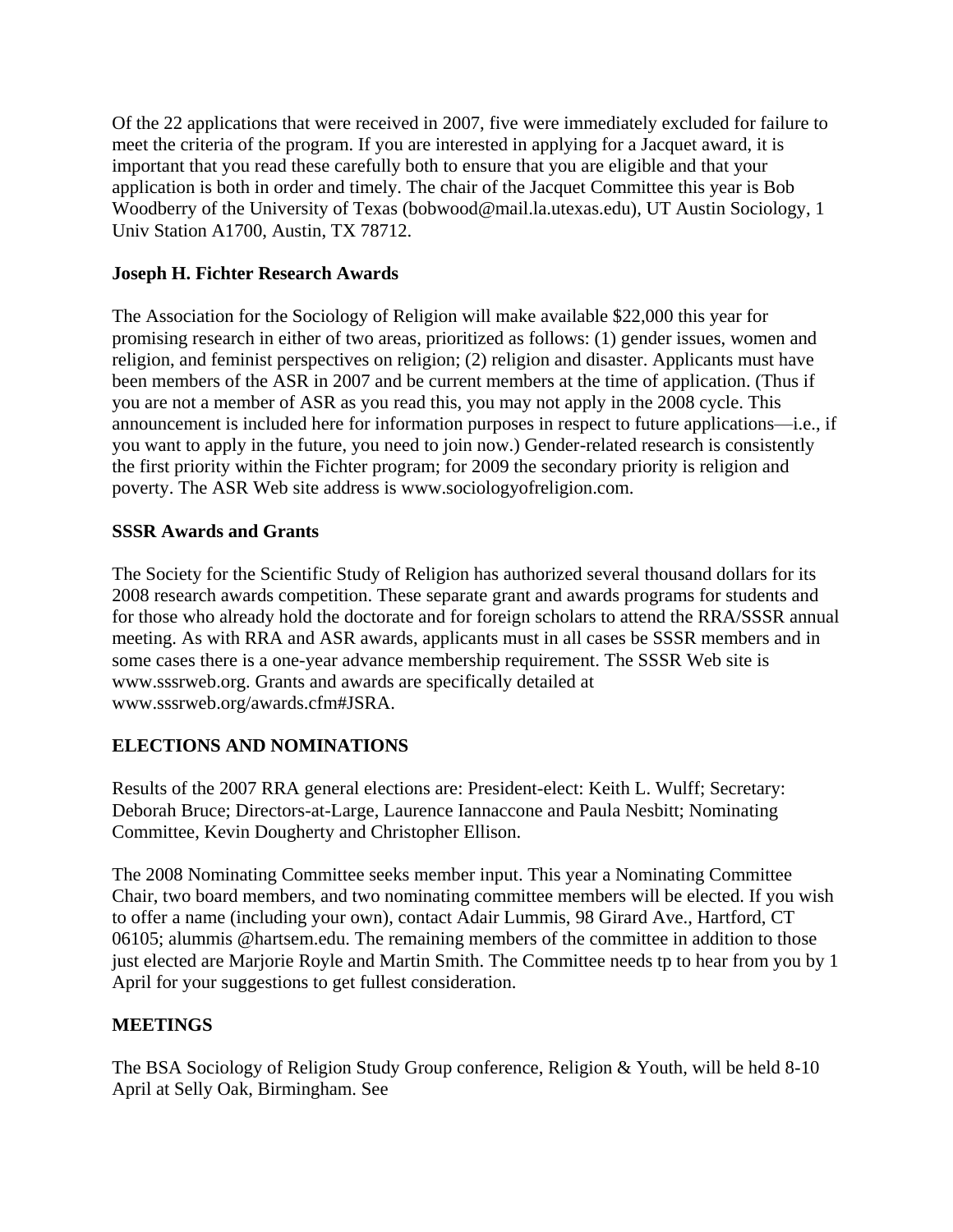Of the 22 applications that were received in 2007, five were immediately excluded for failure to meet the criteria of the program. If you are interested in applying for a Jacquet award, it is important that you read these carefully both to ensure that you are eligible and that your application is both in order and timely. The chair of the Jacquet Committee this year is Bob Woodberry of the University of Texas (bobwood@mail.la.utexas.edu), UT Austin Sociology, 1 Univ Station A1700, Austin, TX 78712.

#### **Joseph H. Fichter Research Awards**

The Association for the Sociology of Religion will make available \$22,000 this year for promising research in either of two areas, prioritized as follows: (1) gender issues, women and religion, and feminist perspectives on religion; (2) religion and disaster. Applicants must have been members of the ASR in 2007 and be current members at the time of application. (Thus if you are not a member of ASR as you read this, you may not apply in the 2008 cycle. This announcement is included here for information purposes in respect to future applications—i.e., if you want to apply in the future, you need to join now.) Gender-related research is consistently the first priority within the Fichter program; for 2009 the secondary priority is religion and poverty. The ASR Web site address is www.sociologyofreligion.com.

## **SSSR Awards and Grants**

The Society for the Scientific Study of Religion has authorized several thousand dollars for its 2008 research awards competition. These separate grant and awards programs for students and for those who already hold the doctorate and for foreign scholars to attend the RRA/SSSR annual meeting. As with RRA and ASR awards, applicants must in all cases be SSSR members and in some cases there is a one-year advance membership requirement. The SSSR Web site is www.sssrweb.org. Grants and awards are specifically detailed at www.sssrweb.org/awards.cfm#JSRA.

# **ELECTIONS AND NOMINATIONS**

Results of the 2007 RRA general elections are: President-elect: Keith L. Wulff; Secretary: Deborah Bruce; Directors-at-Large, Laurence Iannaccone and Paula Nesbitt; Nominating Committee, Kevin Dougherty and Christopher Ellison.

The 2008 Nominating Committee seeks member input. This year a Nominating Committee Chair, two board members, and two nominating committee members will be elected. If you wish to offer a name (including your own), contact Adair Lummis, 98 Girard Ave., Hartford, CT 06105; alummis @hartsem.edu. The remaining members of the committee in addition to those just elected are Marjorie Royle and Martin Smith. The Committee needs tp to hear from you by 1 April for your suggestions to get fullest consideration.

# **MEETINGS**

The BSA Sociology of Religion Study Group conference, Religion & Youth, will be held 8-10 April at Selly Oak, Birmingham. See